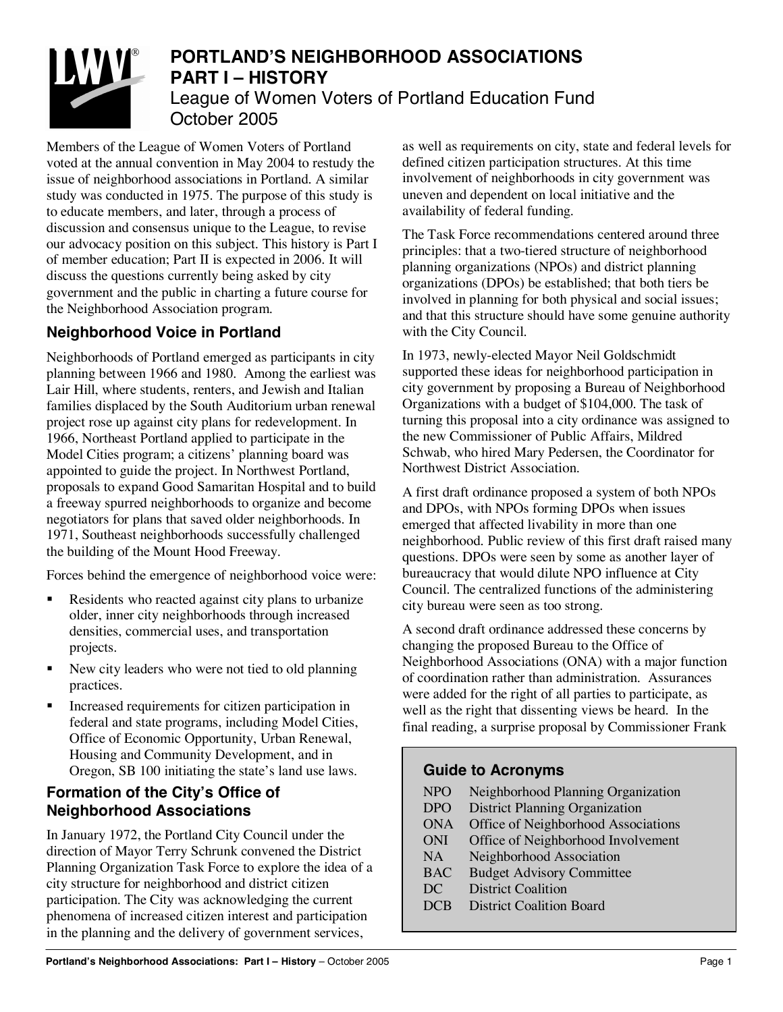

# **PORTLAND'S NEIGHBORHOOD ASSOCIATIONS PART I – HISTORY** League of Women Voters of Portland Education Fund October 2005

Members of the League of Women Voters of Portland voted at the annual convention in May 2004 to restudy the issue of neighborhood associations in Portland. A similar study was conducted in 1975. The purpose of this study is to educate members, and later, through a process of discussion and consensus unique to the League, to revise our advocacy position on this subject. This history is Part I of member education; Part II is expected in 2006. It will discuss the questions currently being asked by city government and the public in charting a future course for the Neighborhood Association program.

## **Neighborhood Voice in Portland**

Neighborhoods of Portland emerged as participants in city planning between 1966 and 1980. Among the earliest was Lair Hill, where students, renters, and Jewish and Italian families displaced by the South Auditorium urban renewal project rose up against city plans for redevelopment. In 1966, Northeast Portland applied to participate in the Model Cities program; a citizens' planning board was appointed to guide the project. In Northwest Portland, proposals to expand Good Samaritan Hospital and to build a freeway spurred neighborhoods to organize and become negotiators for plans that saved older neighborhoods. In 1971, Southeast neighborhoods successfully challenged the building of the Mount Hood Freeway.

Forces behind the emergence of neighborhood voice were:

- **EXECUTE:** Residents who reacted against city plans to urbanize older, inner city neighborhoods through increased densities, commercial uses, and transportation projects.
- **New city leaders who were not tied to old planning** practices.
- ! Increased requirements for citizen participation in federal and state programs, including Model Cities, Office of Economic Opportunity, Urban Renewal, Housing and Community Development, and in Oregon, SB 100 initiating the state's land use laws.

#### **Formation of the City's Office of Neighborhood Associations**

In January 1972, the Portland City Council under the direction of Mayor Terry Schrunk convened the District Planning Organization Task Force to explore the idea of a city structure for neighborhood and district citizen participation. The City was acknowledging the current phenomena of increased citizen interest and participation in the planning and the delivery of government services,

as well as requirements on city, state and federal levels for defined citizen participation structures. At this time involvement of neighborhoods in city government was uneven and dependent on local initiative and the availability of federal funding.

The Task Force recommendations centered around three principles: that a two-tiered structure of neighborhood planning organizations (NPOs) and district planning organizations (DPOs) be established; that both tiers be involved in planning for both physical and social issues; and that this structure should have some genuine authority with the City Council.

In 1973, newly-elected Mayor Neil Goldschmidt supported these ideas for neighborhood participation in city government by proposing a Bureau of Neighborhood Organizations with a budget of \$104,000. The task of turning this proposal into a city ordinance was assigned to the new Commissioner of Public Affairs, Mildred Schwab, who hired Mary Pedersen, the Coordinator for Northwest District Association.

A first draft ordinance proposed a system of both NPOs and DPOs, with NPOs forming DPOs when issues emerged that affected livability in more than one neighborhood. Public review of this first draft raised many questions. DPOs were seen by some as another layer of bureaucracy that would dilute NPO influence at City Council. The centralized functions of the administering city bureau were seen as too strong.

A second draft ordinance addressed these concerns by changing the proposed Bureau to the Office of Neighborhood Associations (ONA) with a major function of coordination rather than administration. Assurances were added for the right of all parties to participate, as well as the right that dissenting views be heard. In the final reading, a surprise proposal by Commissioner Frank

#### **Guide to Acronyms**

| <b>NPO</b> | Neighborhood Planning Organization    |
|------------|---------------------------------------|
| <b>DPO</b> | <b>District Planning Organization</b> |
| <b>ONA</b> | Office of Neighborhood Associations   |
| <b>ONI</b> | Office of Neighborhood Involvement    |
| <b>NA</b>  | Neighborhood Association              |
| <b>BAC</b> | <b>Budget Advisory Committee</b>      |
| DC         | <b>District Coalition</b>             |
| <b>DCB</b> | <b>District Coalition Board</b>       |
|            |                                       |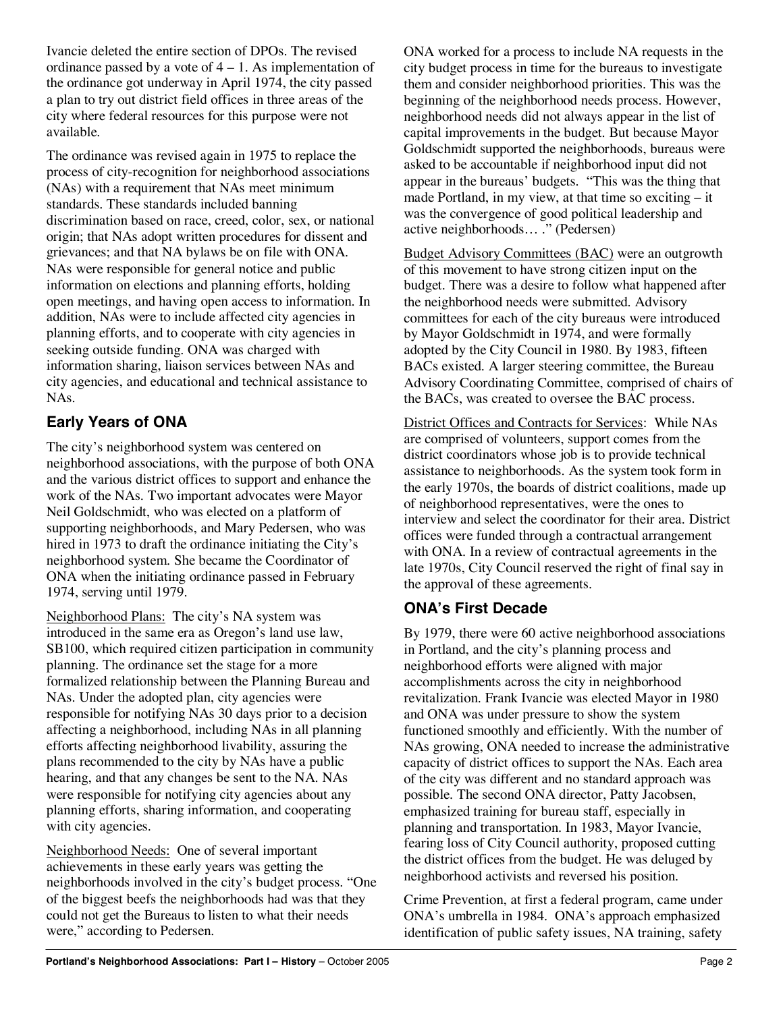Ivancie deleted the entire section of DPOs. The revised ordinance passed by a vote of  $4 - 1$ . As implementation of the ordinance got underway in April 1974, the city passed a plan to try out district field offices in three areas of the city where federal resources for this purpose were not available.

The ordinance was revised again in 1975 to replace the process of city-recognition for neighborhood associations (NAs) with a requirement that NAs meet minimum standards. These standards included banning discrimination based on race, creed, color, sex, or national origin; that NAs adopt written procedures for dissent and grievances; and that NA bylaws be on file with ONA. NAs were responsible for general notice and public information on elections and planning efforts, holding open meetings, and having open access to information. In addition, NAs were to include affected city agencies in planning efforts, and to cooperate with city agencies in seeking outside funding. ONA was charged with information sharing, liaison services between NAs and city agencies, and educational and technical assistance to NAs.

## **Early Years of ONA**

The city's neighborhood system was centered on neighborhood associations, with the purpose of both ONA and the various district offices to support and enhance the work of the NAs. Two important advocates were Mayor Neil Goldschmidt, who was elected on a platform of supporting neighborhoods, and Mary Pedersen, who was hired in 1973 to draft the ordinance initiating the City's neighborhood system. She became the Coordinator of ONA when the initiating ordinance passed in February 1974, serving until 1979.

Neighborhood Plans: The city's NA system was introduced in the same era as Oregon's land use law, SB100, which required citizen participation in community planning. The ordinance set the stage for a more formalized relationship between the Planning Bureau and NAs. Under the adopted plan, city agencies were responsible for notifying NAs 30 days prior to a decision affecting a neighborhood, including NAs in all planning efforts affecting neighborhood livability, assuring the plans recommended to the city by NAs have a public hearing, and that any changes be sent to the NA. NAs were responsible for notifying city agencies about any planning efforts, sharing information, and cooperating with city agencies.

Neighborhood Needs: One of several important achievements in these early years was getting the neighborhoods involved in the city's budget process. "One of the biggest beefs the neighborhoods had was that they could not get the Bureaus to listen to what their needs were," according to Pedersen.

ONA worked for a process to include NA requests in the city budget process in time for the bureaus to investigate them and consider neighborhood priorities. This was the beginning of the neighborhood needs process. However, neighborhood needs did not always appear in the list of capital improvements in the budget. But because Mayor Goldschmidt supported the neighborhoods, bureaus were asked to be accountable if neighborhood input did not appear in the bureaus' budgets. "This was the thing that made Portland, in my view, at that time so exciting – it was the convergence of good political leadership and active neighborhoods… ." (Pedersen)

Budget Advisory Committees (BAC) were an outgrowth of this movement to have strong citizen input on the budget. There was a desire to follow what happened after the neighborhood needs were submitted. Advisory committees for each of the city bureaus were introduced by Mayor Goldschmidt in 1974, and were formally adopted by the City Council in 1980. By 1983, fifteen BACs existed. A larger steering committee, the Bureau Advisory Coordinating Committee, comprised of chairs of the BACs, was created to oversee the BAC process.

District Offices and Contracts for Services: While NAs are comprised of volunteers, support comes from the district coordinators whose job is to provide technical assistance to neighborhoods. As the system took form in the early 1970s, the boards of district coalitions, made up of neighborhood representatives, were the ones to interview and select the coordinator for their area. District offices were funded through a contractual arrangement with ONA. In a review of contractual agreements in the late 1970s, City Council reserved the right of final say in the approval of these agreements.

## **ONA's First Decade**

By 1979, there were 60 active neighborhood associations in Portland, and the city's planning process and neighborhood efforts were aligned with major accomplishments across the city in neighborhood revitalization. Frank Ivancie was elected Mayor in 1980 and ONA was under pressure to show the system functioned smoothly and efficiently. With the number of NAs growing, ONA needed to increase the administrative capacity of district offices to support the NAs. Each area of the city was different and no standard approach was possible. The second ONA director, Patty Jacobsen, emphasized training for bureau staff, especially in planning and transportation. In 1983, Mayor Ivancie, fearing loss of City Council authority, proposed cutting the district offices from the budget. He was deluged by neighborhood activists and reversed his position.

Crime Prevention, at first a federal program, came under ONA's umbrella in 1984. ONA's approach emphasized identification of public safety issues, NA training, safety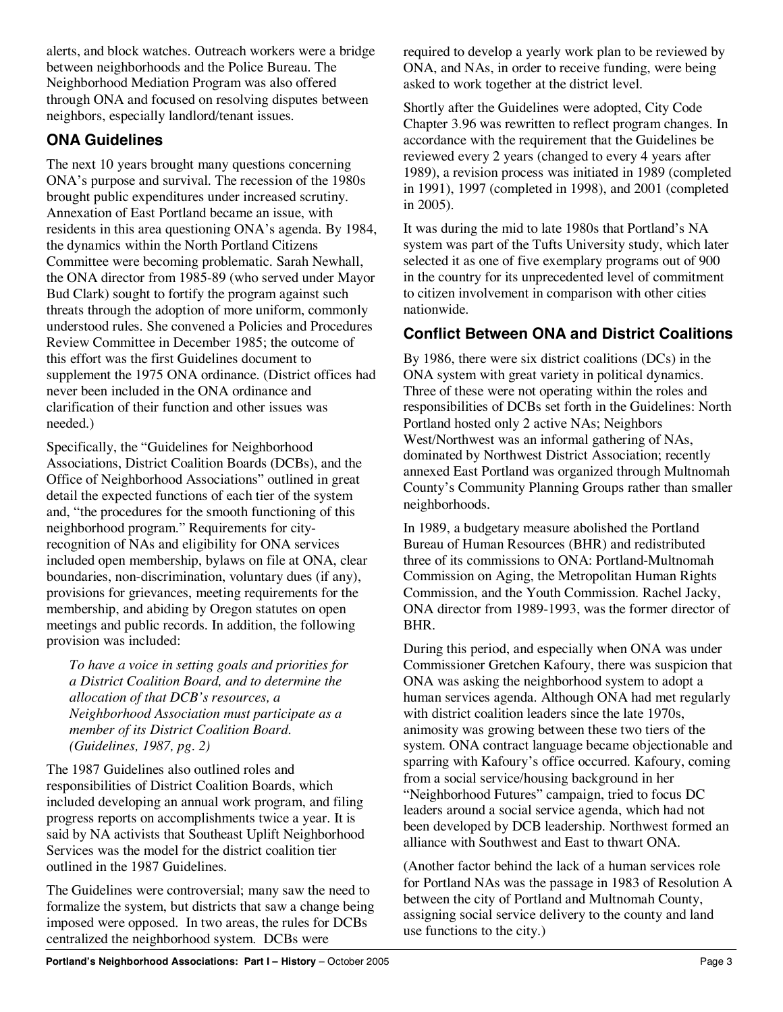alerts, and block watches. Outreach workers were a bridge between neighborhoods and the Police Bureau. The Neighborhood Mediation Program was also offered through ONA and focused on resolving disputes between neighbors, especially landlord/tenant issues.

### **ONA Guidelines**

The next 10 years brought many questions concerning ONA's purpose and survival. The recession of the 1980s brought public expenditures under increased scrutiny. Annexation of East Portland became an issue, with residents in this area questioning ONA's agenda. By 1984, the dynamics within the North Portland Citizens Committee were becoming problematic. Sarah Newhall, the ONA director from 1985-89 (who served under Mayor Bud Clark) sought to fortify the program against such threats through the adoption of more uniform, commonly understood rules. She convened a Policies and Procedures Review Committee in December 1985; the outcome of this effort was the first Guidelines document to supplement the 1975 ONA ordinance. (District offices had never been included in the ONA ordinance and clarification of their function and other issues was needed.)

Specifically, the "Guidelines for Neighborhood Associations, District Coalition Boards (DCBs), and the Office of Neighborhood Associations" outlined in great detail the expected functions of each tier of the system and, "the procedures for the smooth functioning of this neighborhood program." Requirements for cityrecognition of NAs and eligibility for ONA services included open membership, bylaws on file at ONA, clear boundaries, non-discrimination, voluntary dues (if any), provisions for grievances, meeting requirements for the membership, and abiding by Oregon statutes on open meetings and public records. In addition, the following provision was included:

*To have a voice in setting goals and priorities for a District Coalition Board, and to determine the allocation of that DCB's resources, a Neighborhood Association must participate as a member of its District Coalition Board. (Guidelines, 1987, pg. 2)*

The 1987 Guidelines also outlined roles and responsibilities of District Coalition Boards, which included developing an annual work program, and filing progress reports on accomplishments twice a year. It is said by NA activists that Southeast Uplift Neighborhood Services was the model for the district coalition tier outlined in the 1987 Guidelines.

The Guidelines were controversial; many saw the need to formalize the system, but districts that saw a change being imposed were opposed. In two areas, the rules for DCBs centralized the neighborhood system. DCBs were

required to develop a yearly work plan to be reviewed by ONA, and NAs, in order to receive funding, were being asked to work together at the district level.

Shortly after the Guidelines were adopted, City Code Chapter 3.96 was rewritten to reflect program changes. In accordance with the requirement that the Guidelines be reviewed every 2 years (changed to every 4 years after 1989), a revision process was initiated in 1989 (completed in 1991), 1997 (completed in 1998), and 2001 (completed in 2005).

It was during the mid to late 1980s that Portland's NA system was part of the Tufts University study, which later selected it as one of five exemplary programs out of 900 in the country for its unprecedented level of commitment to citizen involvement in comparison with other cities nationwide.

#### **Conflict Between ONA and District Coalitions**

By 1986, there were six district coalitions (DCs) in the ONA system with great variety in political dynamics. Three of these were not operating within the roles and responsibilities of DCBs set forth in the Guidelines: North Portland hosted only 2 active NAs; Neighbors West/Northwest was an informal gathering of NAs, dominated by Northwest District Association; recently annexed East Portland was organized through Multnomah County's Community Planning Groups rather than smaller neighborhoods.

In 1989, a budgetary measure abolished the Portland Bureau of Human Resources (BHR) and redistributed three of its commissions to ONA: Portland-Multnomah Commission on Aging, the Metropolitan Human Rights Commission, and the Youth Commission. Rachel Jacky, ONA director from 1989-1993, was the former director of BHR.

During this period, and especially when ONA was under Commissioner Gretchen Kafoury, there was suspicion that ONA was asking the neighborhood system to adopt a human services agenda. Although ONA had met regularly with district coalition leaders since the late 1970s, animosity was growing between these two tiers of the system. ONA contract language became objectionable and sparring with Kafoury's office occurred. Kafoury, coming from a social service/housing background in her "Neighborhood Futures" campaign, tried to focus DC leaders around a social service agenda, which had not been developed by DCB leadership. Northwest formed an alliance with Southwest and East to thwart ONA.

(Another factor behind the lack of a human services role for Portland NAs was the passage in 1983 of Resolution A between the city of Portland and Multnomah County, assigning social service delivery to the county and land use functions to the city.)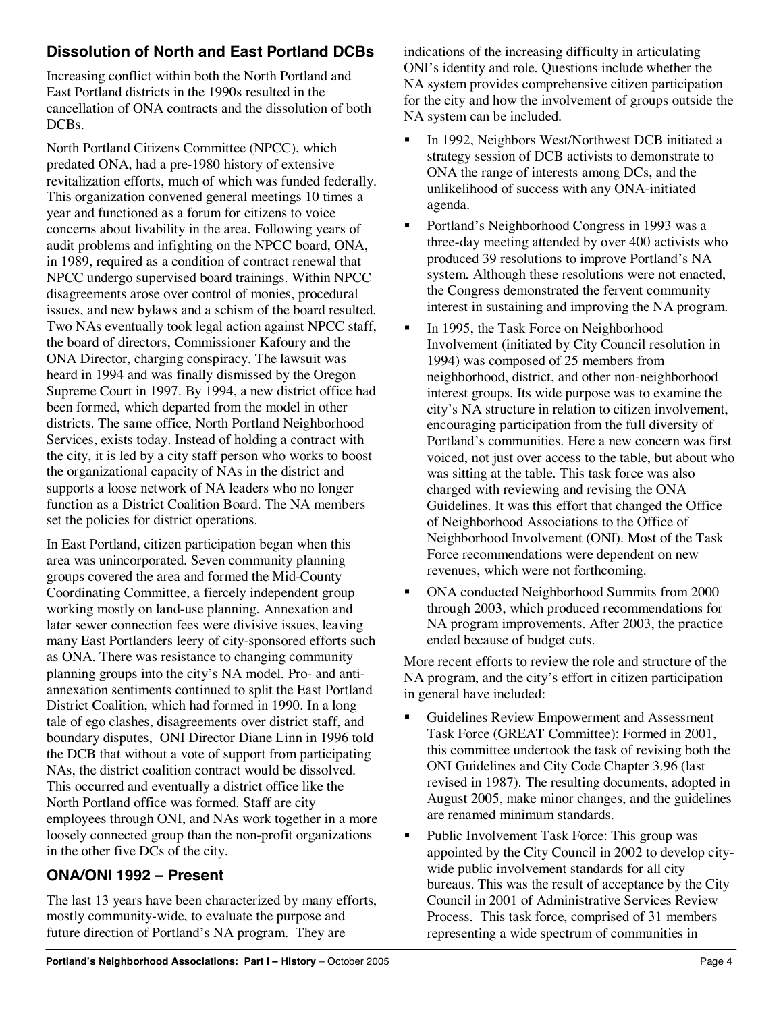## **Dissolution of North and East Portland DCBs**

Increasing conflict within both the North Portland and East Portland districts in the 1990s resulted in the cancellation of ONA contracts and the dissolution of both DCB<sub>s</sub>.

North Portland Citizens Committee (NPCC), which predated ONA, had a pre-1980 history of extensive revitalization efforts, much of which was funded federally. This organization convened general meetings 10 times a year and functioned as a forum for citizens to voice concerns about livability in the area. Following years of audit problems and infighting on the NPCC board, ONA, in 1989, required as a condition of contract renewal that NPCC undergo supervised board trainings. Within NPCC disagreements arose over control of monies, procedural issues, and new bylaws and a schism of the board resulted. Two NAs eventually took legal action against NPCC staff, the board of directors, Commissioner Kafoury and the ONA Director, charging conspiracy. The lawsuit was heard in 1994 and was finally dismissed by the Oregon Supreme Court in 1997. By 1994, a new district office had been formed, which departed from the model in other districts. The same office, North Portland Neighborhood Services, exists today. Instead of holding a contract with the city, it is led by a city staff person who works to boost the organizational capacity of NAs in the district and supports a loose network of NA leaders who no longer function as a District Coalition Board. The NA members set the policies for district operations.

In East Portland, citizen participation began when this area was unincorporated. Seven community planning groups covered the area and formed the Mid-County Coordinating Committee, a fiercely independent group working mostly on land-use planning. Annexation and later sewer connection fees were divisive issues, leaving many East Portlanders leery of city-sponsored efforts such as ONA. There was resistance to changing community planning groups into the city's NA model. Pro- and antiannexation sentiments continued to split the East Portland District Coalition, which had formed in 1990. In a long tale of ego clashes, disagreements over district staff, and boundary disputes, ONI Director Diane Linn in 1996 told the DCB that without a vote of support from participating NAs, the district coalition contract would be dissolved. This occurred and eventually a district office like the North Portland office was formed. Staff are city employees through ONI, and NAs work together in a more loosely connected group than the non-profit organizations in the other five DCs of the city.

# **ONA/ONI 1992 – Present**

The last 13 years have been characterized by many efforts, mostly community-wide, to evaluate the purpose and future direction of Portland's NA program. They are

indications of the increasing difficulty in articulating ONI's identity and role. Questions include whether the NA system provides comprehensive citizen participation for the city and how the involvement of groups outside the NA system can be included.

- In 1992, Neighbors West/Northwest DCB initiated a strategy session of DCB activists to demonstrate to ONA the range of interests among DCs, and the unlikelihood of success with any ONA-initiated agenda.
- ! Portland's Neighborhood Congress in 1993 was a three-day meeting attended by over 400 activists who produced 39 resolutions to improve Portland's NA system. Although these resolutions were not enacted, the Congress demonstrated the fervent community interest in sustaining and improving the NA program.
- In 1995, the Task Force on Neighborhood Involvement (initiated by City Council resolution in 1994) was composed of 25 members from neighborhood, district, and other non-neighborhood interest groups. Its wide purpose was to examine the city's NA structure in relation to citizen involvement, encouraging participation from the full diversity of Portland's communities. Here a new concern was first voiced, not just over access to the table, but about who was sitting at the table. This task force was also charged with reviewing and revising the ONA Guidelines. It was this effort that changed the Office of Neighborhood Associations to the Office of Neighborhood Involvement (ONI). Most of the Task Force recommendations were dependent on new revenues, which were not forthcoming.
- ! ONA conducted Neighborhood Summits from 2000 through 2003, which produced recommendations for NA program improvements. After 2003, the practice ended because of budget cuts.

More recent efforts to review the role and structure of the NA program, and the city's effort in citizen participation in general have included:

- ! Guidelines Review Empowerment and Assessment Task Force (GREAT Committee): Formed in 2001, this committee undertook the task of revising both the ONI Guidelines and City Code Chapter 3.96 (last revised in 1987). The resulting documents, adopted in August 2005, make minor changes, and the guidelines are renamed minimum standards.
- ! Public Involvement Task Force: This group was appointed by the City Council in 2002 to develop citywide public involvement standards for all city bureaus. This was the result of acceptance by the City Council in 2001 of Administrative Services Review Process. This task force, comprised of 31 members representing a wide spectrum of communities in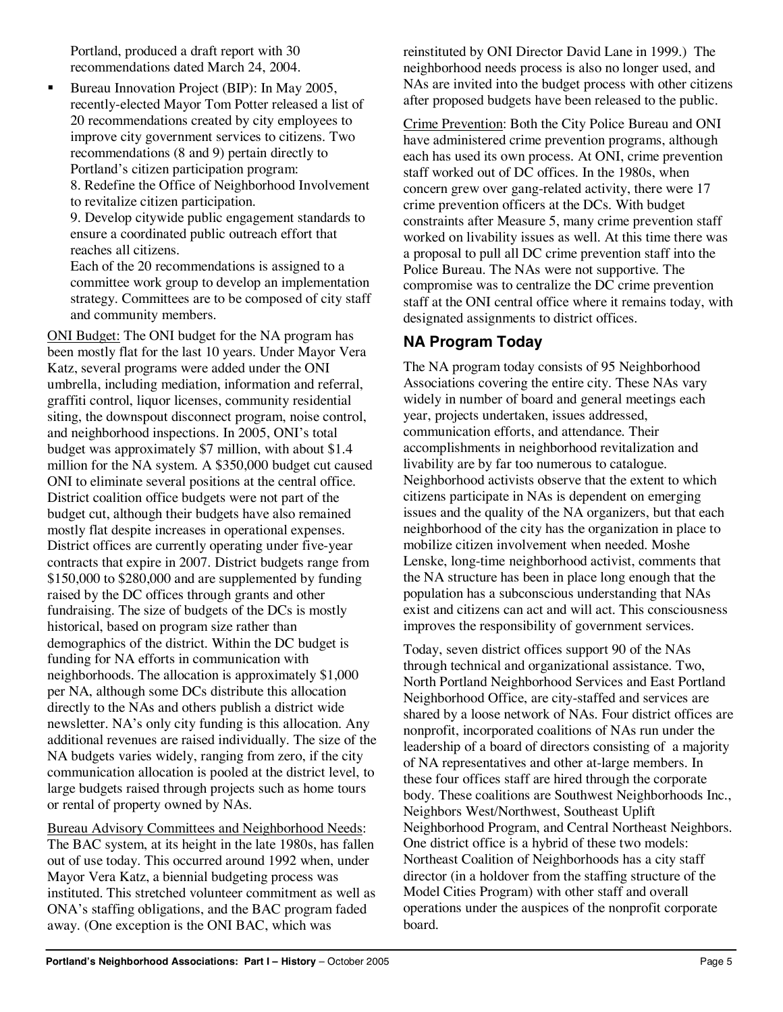Portland, produced a draft report with 30 recommendations dated March 24, 2004.

! Bureau Innovation Project (BIP): In May 2005, recently-elected Mayor Tom Potter released a list of 20 recommendations created by city employees to improve city government services to citizens. Two recommendations (8 and 9) pertain directly to Portland's citizen participation program: 8. Redefine the Office of Neighborhood Involvement to revitalize citizen participation.

9. Develop citywide public engagement standards to ensure a coordinated public outreach effort that reaches all citizens.

Each of the 20 recommendations is assigned to a committee work group to develop an implementation strategy. Committees are to be composed of city staff and community members.

ONI Budget: The ONI budget for the NA program has been mostly flat for the last 10 years. Under Mayor Vera Katz, several programs were added under the ONI umbrella, including mediation, information and referral, graffiti control, liquor licenses, community residential siting, the downspout disconnect program, noise control, and neighborhood inspections. In 2005, ONI's total budget was approximately \$7 million, with about \$1.4 million for the NA system. A \$350,000 budget cut caused ONI to eliminate several positions at the central office. District coalition office budgets were not part of the budget cut, although their budgets have also remained mostly flat despite increases in operational expenses. District offices are currently operating under five-year contracts that expire in 2007. District budgets range from \$150,000 to \$280,000 and are supplemented by funding raised by the DC offices through grants and other fundraising. The size of budgets of the DCs is mostly historical, based on program size rather than demographics of the district. Within the DC budget is funding for NA efforts in communication with neighborhoods. The allocation is approximately \$1,000 per NA, although some DCs distribute this allocation directly to the NAs and others publish a district wide newsletter. NA's only city funding is this allocation. Any additional revenues are raised individually. The size of the NA budgets varies widely, ranging from zero, if the city communication allocation is pooled at the district level, to large budgets raised through projects such as home tours or rental of property owned by NAs.

Bureau Advisory Committees and Neighborhood Needs: The BAC system, at its height in the late 1980s, has fallen out of use today. This occurred around 1992 when, under Mayor Vera Katz, a biennial budgeting process was instituted. This stretched volunteer commitment as well as ONA's staffing obligations, and the BAC program faded away. (One exception is the ONI BAC, which was

reinstituted by ONI Director David Lane in 1999.) The neighborhood needs process is also no longer used, and NAs are invited into the budget process with other citizens after proposed budgets have been released to the public.

Crime Prevention: Both the City Police Bureau and ONI have administered crime prevention programs, although each has used its own process. At ONI, crime prevention staff worked out of DC offices. In the 1980s, when concern grew over gang-related activity, there were 17 crime prevention officers at the DCs. With budget constraints after Measure 5, many crime prevention staff worked on livability issues as well. At this time there was a proposal to pull all DC crime prevention staff into the Police Bureau. The NAs were not supportive. The compromise was to centralize the DC crime prevention staff at the ONI central office where it remains today, with designated assignments to district offices.

### **NA Program Today**

The NA program today consists of 95 Neighborhood Associations covering the entire city. These NAs vary widely in number of board and general meetings each year, projects undertaken, issues addressed, communication efforts, and attendance. Their accomplishments in neighborhood revitalization and livability are by far too numerous to catalogue. Neighborhood activists observe that the extent to which citizens participate in NAs is dependent on emerging issues and the quality of the NA organizers, but that each neighborhood of the city has the organization in place to mobilize citizen involvement when needed. Moshe Lenske, long-time neighborhood activist, comments that the NA structure has been in place long enough that the population has a subconscious understanding that NAs exist and citizens can act and will act. This consciousness improves the responsibility of government services.

Today, seven district offices support 90 of the NAs through technical and organizational assistance. Two, North Portland Neighborhood Services and East Portland Neighborhood Office, are city-staffed and services are shared by a loose network of NAs. Four district offices are nonprofit, incorporated coalitions of NAs run under the leadership of a board of directors consisting of a majority of NA representatives and other at-large members. In these four offices staff are hired through the corporate body. These coalitions are Southwest Neighborhoods Inc., Neighbors West/Northwest, Southeast Uplift Neighborhood Program, and Central Northeast Neighbors. One district office is a hybrid of these two models: Northeast Coalition of Neighborhoods has a city staff director (in a holdover from the staffing structure of the Model Cities Program) with other staff and overall operations under the auspices of the nonprofit corporate board.